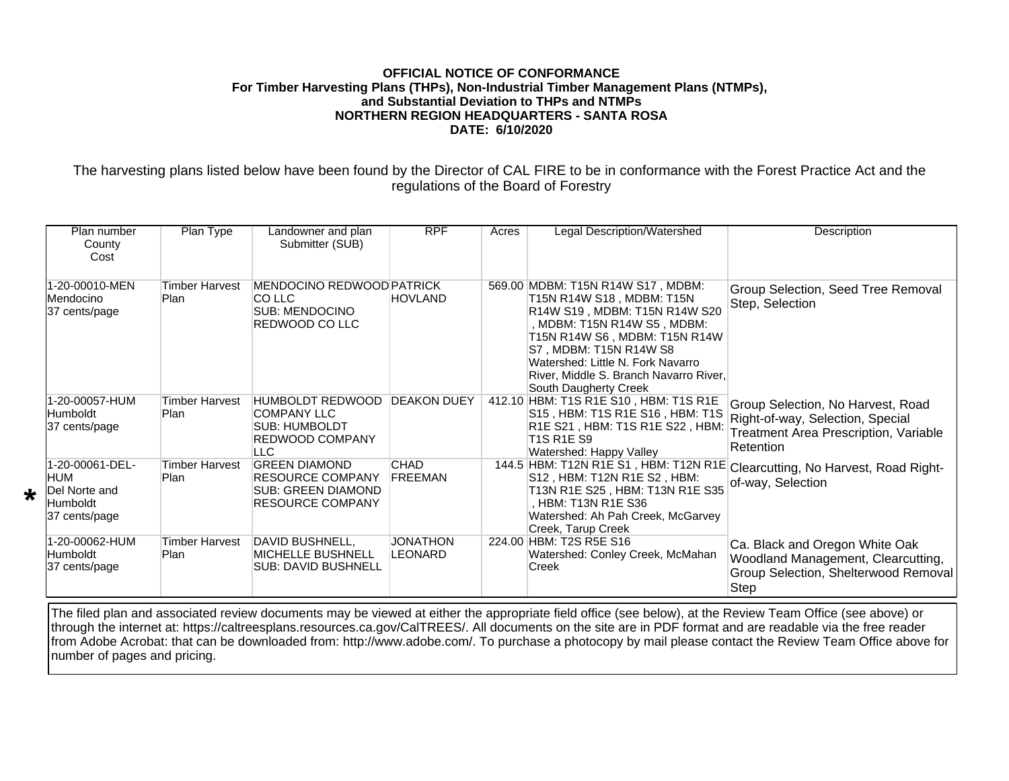## **OFFICIAL NOTICE OF CONFORMANCE For Timber Harvesting Plans (THPs), Non-Industrial Timber Management Plans (NTMPs), and Substantial Deviation to THPs and NTMPs NORTHERN REGION HEADQUARTERS - SANTA ROSA DATE: 6/10/2020**

The harvesting plans listed below have been found by the Director of CAL FIRE to be in conformance with the Forest Practice Act and the regulations of the Board of Forestry

| Plan number<br>County<br>Cost                                                | Plan Type                            | Landowner and plan<br>Submitter (SUB)                                                                  | <b>RPF</b>                    | Acres | Legal Description/Watershed                                                                                                                                                                                                                                                                       | Description                                                                                                                               |
|------------------------------------------------------------------------------|--------------------------------------|--------------------------------------------------------------------------------------------------------|-------------------------------|-------|---------------------------------------------------------------------------------------------------------------------------------------------------------------------------------------------------------------------------------------------------------------------------------------------------|-------------------------------------------------------------------------------------------------------------------------------------------|
| 1-20-00010-MEN<br>Mendocino<br>37 cents/page                                 | Timber Harvest<br>Plan               | <b>MENDOCINO REDWOOD PATRICK</b><br>ICO LLC<br><b>SUB: MENDOCINO</b><br><b>REDWOOD CO LLC</b>          | <b>HOVLAND</b>                |       | 569.00 MDBM: T15N R14W S17, MDBM:<br>T15N R14W S18, MDBM: T15N<br>R14W S19, MDBM: T15N R14W S20<br>, MDBM: T15N R14W S5, MDBM:<br>T15N R14W S6, MDBM: T15N R14W<br>S7, MDBM: T15N R14W S8<br>Watershed: Little N. Fork Navarro<br>River, Middle S. Branch Navarro River,<br>South Daugherty Creek | Group Selection, Seed Tree Removal<br>Step, Selection                                                                                     |
| 1-20-00057-HUM<br><b>Humboldt</b><br>37 cents/page                           | <b>Timber Harvest</b><br><b>Plan</b> | <b>HUMBOLDT REDWOOD</b><br><b>COMPANY LLC</b><br><b>SUB: HUMBOLDT</b><br>REDWOOD COMPANY<br><b>LLC</b> | <b>DEAKON DUEY</b>            |       | 412.10 HBM: T1S R1E S10, HBM: T1S R1E<br>S15, HBM: T1S R1E S16, HBM: T1S<br>R1E S21, HBM: T1S R1E S22, HBM:<br><b>T1S R1E S9</b><br>Watershed: Happy Valley                                                                                                                                       | Group Selection, No Harvest, Road<br>Right-of-way, Selection, Special<br><b>Treatment Area Prescription, Variable</b><br><b>Retention</b> |
| 1-20-00061-DEL-<br><b>IHUM</b><br>Del Norte and<br>Humboldt<br>37 cents/page | <b>Timber Harvest</b><br>Plan        | <b>GREEN DIAMOND</b><br><b>RESOURCE COMPANY</b><br>SUB: GREEN DIAMOND<br><b>RESOURCE COMPANY</b>       | <b>CHAD</b><br><b>FREEMAN</b> |       | 144.5 HBM: T12N R1E S1, HBM: T12N R1E<br>S12, HBM: T12N R1E S2, HBM:<br>T13N R1E S25, HBM: T13N R1E S35<br>. HBM: T13N R1E S36<br>Watershed: Ah Pah Creek, McGarvey<br>Creek, Tarup Creek                                                                                                         | Clearcutting, No Harvest, Road Right-<br>of-way, Selection                                                                                |
| 1-20-00062-HUM<br>Humboldt<br>37 cents/page                                  | Timber Harvest<br><b>Plan</b>        | DAVID BUSHNELL,<br><b>MICHELLE BUSHNELL</b><br>SUB: DAVID BUSHNELL                                     | JONATHON<br>LEONARD           |       | 224.00 HBM: T2S R5E S16<br>Watershed: Conley Creek, McMahan<br>Creek                                                                                                                                                                                                                              | Ca. Black and Oregon White Oak<br>Woodland Management, Clearcutting,<br>Group Selection, Shelterwood Removal<br>Step                      |

\*

The filed plan and associated review documents may be viewed at either the appropriate field office (see below), at the Review Team Office (see above) or through the internet at: https://caltreesplans.resources.ca.gov/CalTREES/. All documents on the site are in PDF format and are readable via the free reader from Adobe Acrobat: that can be downloaded from: http://www.adobe.com/. To purchase a photocopy by mail please contact the Review Team Office above for number of pages and pricing.